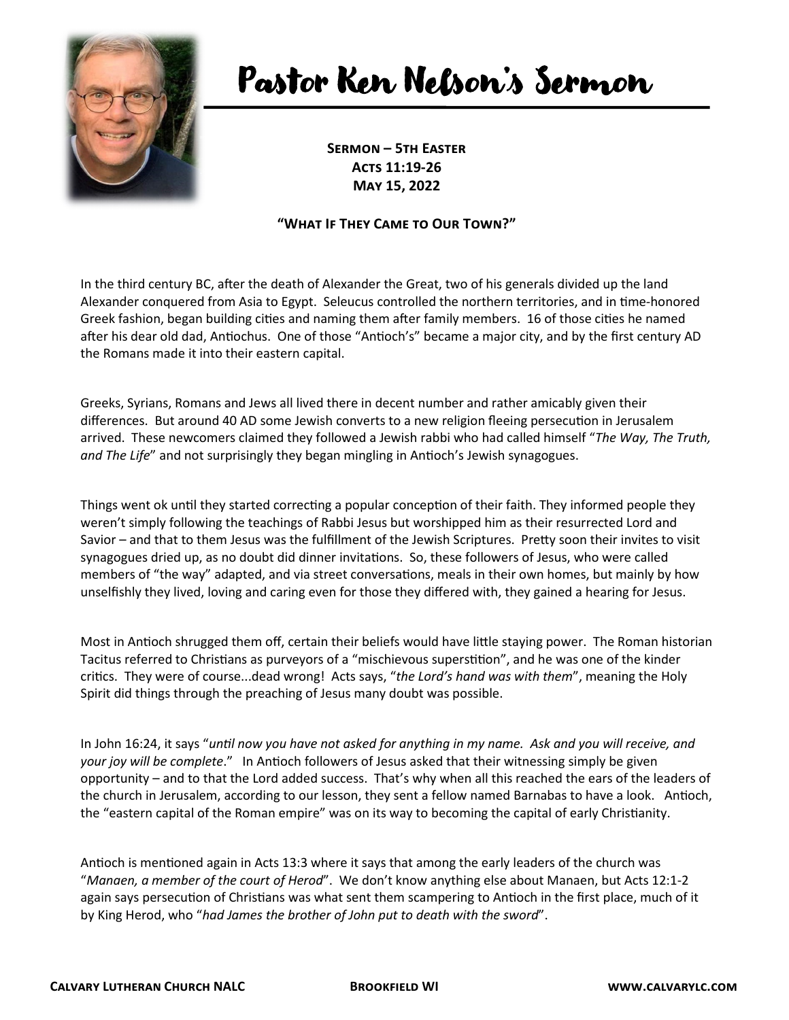

## Pastor Ken Nelson's Sermon

**Sermon – 5th Easter Acts 11:19-26 May 15, 2022**

## **"What If They Came to Our Town?"**

In the third century BC, after the death of Alexander the Great, two of his generals divided up the land Alexander conquered from Asia to Egypt. Seleucus controlled the northern territories, and in time-honored Greek fashion, began building cities and naming them after family members. 16 of those cities he named after his dear old dad, Antiochus. One of those "Antioch's" became a major city, and by the first century AD the Romans made it into their eastern capital.

Greeks, Syrians, Romans and Jews all lived there in decent number and rather amicably given their differences. But around 40 AD some Jewish converts to a new religion fleeing persecution in Jerusalem arrived. These newcomers claimed they followed a Jewish rabbi who had called himself "*The Way, The Truth, and The Life*" and not surprisingly they began mingling in Antioch's Jewish synagogues.

Things went ok until they started correcting a popular conception of their faith. They informed people they weren't simply following the teachings of Rabbi Jesus but worshipped him as their resurrected Lord and Savior – and that to them Jesus was the fulfillment of the Jewish Scriptures. Pretty soon their invites to visit synagogues dried up, as no doubt did dinner invitations. So, these followers of Jesus, who were called members of "the way" adapted, and via street conversations, meals in their own homes, but mainly by how unselfishly they lived, loving and caring even for those they differed with, they gained a hearing for Jesus.

Most in Antioch shrugged them off, certain their beliefs would have little staying power. The Roman historian Tacitus referred to Christians as purveyors of a "mischievous superstition", and he was one of the kinder critics. They were of course...dead wrong! Acts says, "*the Lord's hand was with them*", meaning the Holy Spirit did things through the preaching of Jesus many doubt was possible.

In John 16:24, it says "*until now you have not asked for anything in my name. Ask and you will receive, and your joy will be complete*." In Antioch followers of Jesus asked that their witnessing simply be given opportunity – and to that the Lord added success. That's why when all this reached the ears of the leaders of the church in Jerusalem, according to our lesson, they sent a fellow named Barnabas to have a look. Antioch, the "eastern capital of the Roman empire" was on its way to becoming the capital of early Christianity.

Antioch is mentioned again in Acts 13:3 where it says that among the early leaders of the church was "*Manaen, a member of the court of Herod*". We don't know anything else about Manaen, but Acts 12:1-2 again says persecution of Christians was what sent them scampering to Antioch in the first place, much of it by King Herod, who "*had James the brother of John put to death with the sword*".